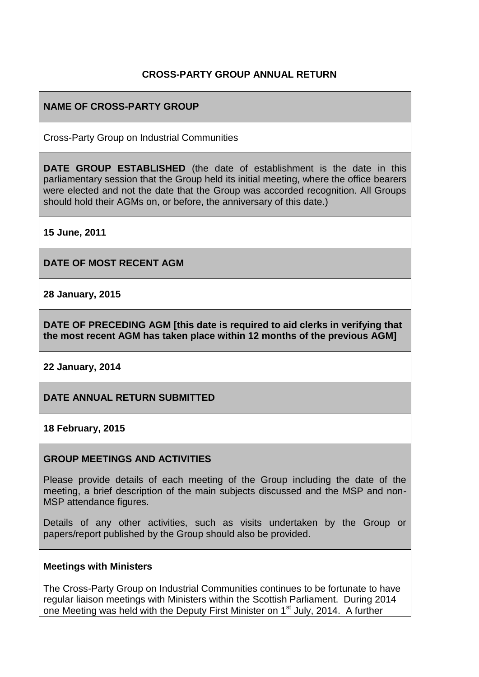### **CROSS-PARTY GROUP ANNUAL RETURN**

# **NAME OF CROSS-PARTY GROUP**

Cross-Party Group on Industrial Communities

**DATE GROUP ESTABLISHED** (the date of establishment is the date in this parliamentary session that the Group held its initial meeting, where the office bearers were elected and not the date that the Group was accorded recognition. All Groups should hold their AGMs on, or before, the anniversary of this date.)

**15 June, 2011**

**DATE OF MOST RECENT AGM**

**28 January, 2015**

**DATE OF PRECEDING AGM [this date is required to aid clerks in verifying that the most recent AGM has taken place within 12 months of the previous AGM]**

**22 January, 2014**

**DATE ANNUAL RETURN SUBMITTED**

**18 February, 2015**

#### **GROUP MEETINGS AND ACTIVITIES**

Please provide details of each meeting of the Group including the date of the meeting, a brief description of the main subjects discussed and the MSP and non-MSP attendance figures.

Details of any other activities, such as visits undertaken by the Group or papers/report published by the Group should also be provided.

#### **Meetings with Ministers**

The Cross-Party Group on Industrial Communities continues to be fortunate to have regular liaison meetings with Ministers within the Scottish Parliament. During 2014 one Meeting was held with the Deputy First Minister on 1<sup>st</sup> July, 2014. A further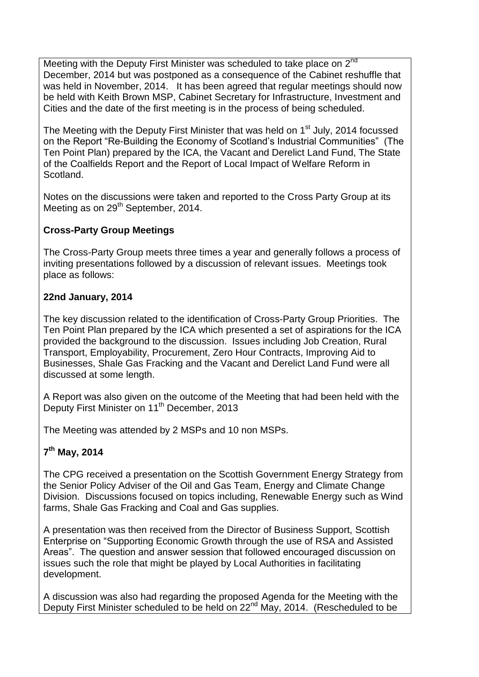Meeting with the Deputy First Minister was scheduled to take place on 2<sup>nd</sup> December, 2014 but was postponed as a consequence of the Cabinet reshuffle that was held in November, 2014. It has been agreed that regular meetings should now be held with Keith Brown MSP, Cabinet Secretary for Infrastructure, Investment and Cities and the date of the first meeting is in the process of being scheduled.

The Meeting with the Deputy First Minister that was held on 1<sup>st</sup> July, 2014 focussed on the Report "Re-Building the Economy of Scotland's Industrial Communities" (The Ten Point Plan) prepared by the ICA, the Vacant and Derelict Land Fund, The State of the Coalfields Report and the Report of Local Impact of Welfare Reform in Scotland.

Notes on the discussions were taken and reported to the Cross Party Group at its Meeting as on 29<sup>th</sup> September, 2014.

# **Cross-Party Group Meetings**

The Cross-Party Group meets three times a year and generally follows a process of inviting presentations followed by a discussion of relevant issues. Meetings took place as follows:

# **22nd January, 2014**

The key discussion related to the identification of Cross-Party Group Priorities. The Ten Point Plan prepared by the ICA which presented a set of aspirations for the ICA provided the background to the discussion. Issues including Job Creation, Rural Transport, Employability, Procurement, Zero Hour Contracts, Improving Aid to Businesses, Shale Gas Fracking and the Vacant and Derelict Land Fund were all discussed at some length.

A Report was also given on the outcome of the Meeting that had been held with the Deputy First Minister on 11<sup>th</sup> December, 2013

The Meeting was attended by 2 MSPs and 10 non MSPs.

# **7 th May, 2014**

The CPG received a presentation on the Scottish Government Energy Strategy from the Senior Policy Adviser of the Oil and Gas Team, Energy and Climate Change Division. Discussions focused on topics including, Renewable Energy such as Wind farms, Shale Gas Fracking and Coal and Gas supplies.

A presentation was then received from the Director of Business Support, Scottish Enterprise on "Supporting Economic Growth through the use of RSA and Assisted Areas". The question and answer session that followed encouraged discussion on issues such the role that might be played by Local Authorities in facilitating development.

A discussion was also had regarding the proposed Agenda for the Meeting with the Deputy First Minister scheduled to be held on 22<sup>nd</sup> May, 2014. (Rescheduled to be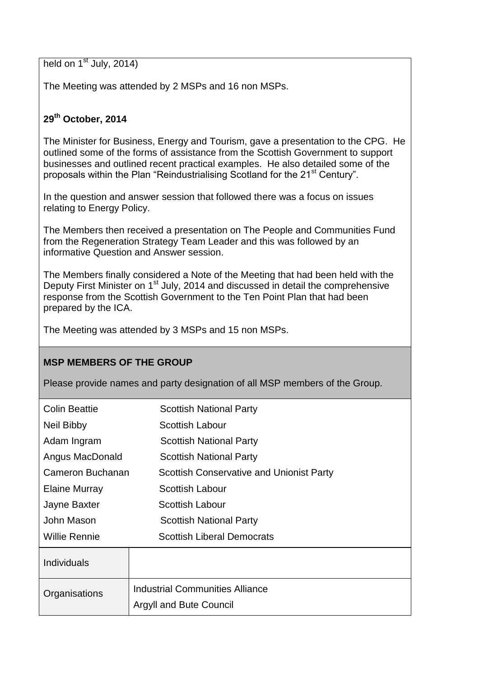held on  $1<sup>st</sup>$  July, 2014)

The Meeting was attended by 2 MSPs and 16 non MSPs.

# **29th October, 2014**

The Minister for Business, Energy and Tourism, gave a presentation to the CPG. He outlined some of the forms of assistance from the Scottish Government to support businesses and outlined recent practical examples. He also detailed some of the proposals within the Plan "Reindustrialising Scotland for the 21<sup>st</sup> Century".

In the question and answer session that followed there was a focus on issues relating to Energy Policy.

The Members then received a presentation on The People and Communities Fund from the Regeneration Strategy Team Leader and this was followed by an informative Question and Answer session.

The Members finally considered a Note of the Meeting that had been held with the Deputy First Minister on 1<sup>st</sup> July, 2014 and discussed in detail the comprehensive response from the Scottish Government to the Ten Point Plan that had been prepared by the ICA.

The Meeting was attended by 3 MSPs and 15 non MSPs.

#### **MSP MEMBERS OF THE GROUP**

Please provide names and party designation of all MSP members of the Group.

| <b>Colin Beattie</b> | <b>Scottish National Party</b>                  |
|----------------------|-------------------------------------------------|
| Neil Bibby           | Scottish Labour                                 |
| Adam Ingram          | <b>Scottish National Party</b>                  |
| Angus MacDonald      | <b>Scottish National Party</b>                  |
| Cameron Buchanan     | <b>Scottish Conservative and Unionist Party</b> |
| Elaine Murray        | <b>Scottish Labour</b>                          |
| Jayne Baxter         | Scottish Labour                                 |
| John Mason           | <b>Scottish National Party</b>                  |
| Willie Rennie        | <b>Scottish Liberal Democrats</b>               |
| <b>Individuals</b>   |                                                 |
| Organisations        | <b>Industrial Communities Alliance</b>          |
|                      | <b>Argyll and Bute Council</b>                  |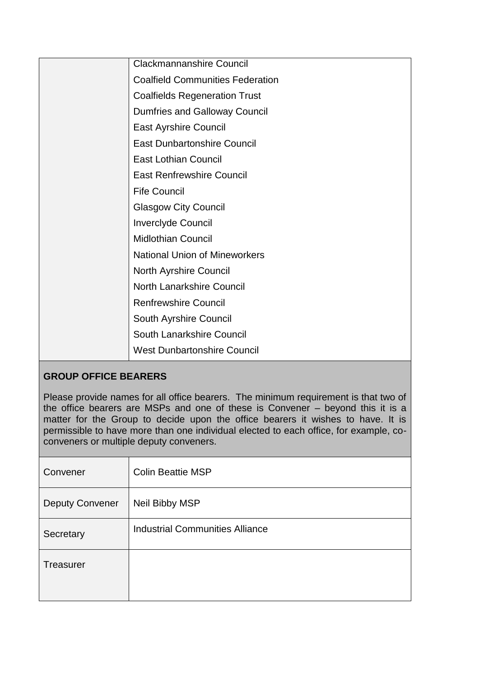| Clackmannanshire Council                |
|-----------------------------------------|
| <b>Coalfield Communities Federation</b> |
| <b>Coalfields Regeneration Trust</b>    |
| <b>Dumfries and Galloway Council</b>    |
| <b>East Ayrshire Council</b>            |
| <b>East Dunbartonshire Council</b>      |
| <b>East Lothian Council</b>             |
| <b>East Renfrewshire Council</b>        |
| <b>Fife Council</b>                     |
| <b>Glasgow City Council</b>             |
| Inverclyde Council                      |
| <b>Midlothian Council</b>               |
| <b>National Union of Mineworkers</b>    |
| North Ayrshire Council                  |
| <b>North Lanarkshire Council</b>        |
| <b>Renfrewshire Council</b>             |
| South Ayrshire Council                  |
| South Lanarkshire Council               |
| <b>West Dunbartonshire Council</b>      |
|                                         |

# **GROUP OFFICE BEARERS**

Please provide names for all office bearers. The minimum requirement is that two of the office bearers are MSPs and one of these is Convener – beyond this it is a matter for the Group to decide upon the office bearers it wishes to have. It is permissible to have more than one individual elected to each office, for example, coconveners or multiple deputy conveners.

| Convener               | <b>Colin Beattie MSP</b>        |
|------------------------|---------------------------------|
| <b>Deputy Convener</b> | Neil Bibby MSP                  |
| Secretary              | Industrial Communities Alliance |
| <b>Treasurer</b>       |                                 |